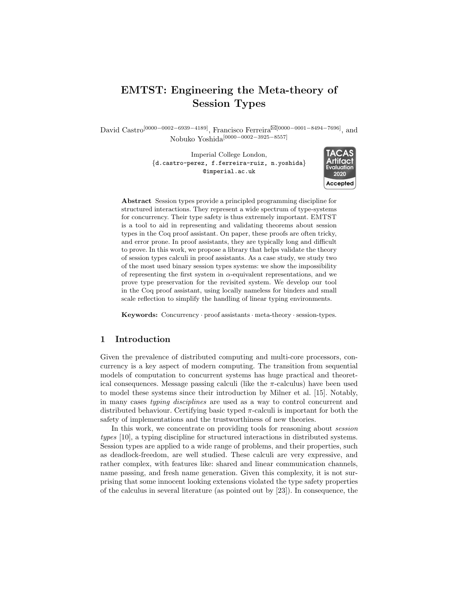# EMTST: Engineering the Meta-theory of Session Types

David Castro<sup>[0000–0002–6939–4189]</sup>, Francisco Ferreira<sup>[201000–0001–8494–7696]</sup>, and Nobuko Yoshida[0000−0002−3925−8557]

> Imperial College London, {d.castro-perez, f.ferreira-ruiz, n.yoshida} @imperial.ac.uk



Abstract Session types provide a principled programming discipline for structured interactions. They represent a wide spectrum of type-systems for concurrency. Their type safety is thus extremely important. EMTST is a tool to aid in representing and validating theorems about session types in the Coq proof assistant. On paper, these proofs are often tricky, and error prone. In proof assistants, they are typically long and difficult to prove. In this work, we propose a library that helps validate the theory of session types calculi in proof assistants. As a case study, we study two of the most used binary session types systems: we show the impossibility of representing the first system in  $\alpha$ -equivalent representations, and we prove type preservation for the revisited system. We develop our tool in the Coq proof assistant, using locally nameless for binders and small scale reflection to simplify the handling of linear typing environments.

Keywords: Concurrency · proof assistants · meta-theory · session-types.

### 1 Introduction

Given the prevalence of distributed computing and multi-core processors, concurrency is a key aspect of modern computing. The transition from sequential models of computation to concurrent systems has huge practical and theoretical consequences. Message passing calculi (like the  $\pi$ -calculus) have been used to model these systems since their introduction by Milner et al. [\[15\]](#page-6-0). Notably, in many cases typing disciplines are used as a way to control concurrent and distributed behaviour. Certifying basic typed  $\pi$ -calculi is important for both the safety of implementations and the trustworthiness of new theories.

In this work, we concentrate on providing tools for reasoning about session types [\[10\]](#page-6-1), a typing discipline for structured interactions in distributed systems. Session types are applied to a wide range of problems, and their properties, such as deadlock-freedom, are well studied. These calculi are very expressive, and rather complex, with features like: shared and linear communication channels, name passing, and fresh name generation. Given this complexity, it is not surprising that some innocent looking extensions violated the type safety properties of the calculus in several literature (as pointed out by [\[23\]](#page-7-0)). In consequence, the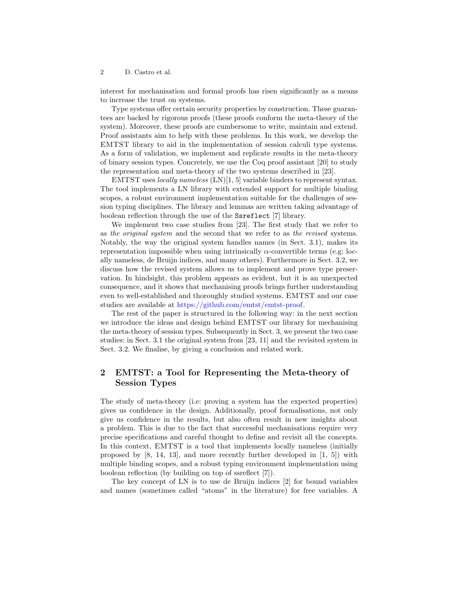#### 2 D. Castro et al.

interest for mechanisation and formal proofs has risen significantly as a means to increase the trust on systems.

Type systems offer certain security properties by construction. These guarantees are backed by rigorous proofs (these proofs conform the meta-theory of the system). Moreover, these proofs are cumbersome to write, maintain and extend. Proof assistants aim to help with these problems. In this work, we develop the EMTST library to aid in the implementation of session calculi type systems. As a form of validation, we implement and replicate results in the meta-theory of binary session types. Concretely, we use the Coq proof assistant [\[20\]](#page-7-1) to study the representation and meta-theory of the two systems described in [\[23\]](#page-7-0).

EMTST uses *locally nameless*  $(LN)[1, 5]$  $(LN)[1, 5]$  $(LN)[1, 5]$  variable binders to represent syntax. The tool implements a LN library with extended support for multiple binding scopes, a robust environment implementation suitable for the challenges of session typing disciplines. The library and lemmas are written taking advantage of boolean reflection through the use of the Ssreflect [\[7\]](#page-6-4) library.

We implement two case studies from [\[23\]](#page-7-0). The first study that we refer to as the original system and the second that we refer to as the revised systems. Notably, the way the original system handles names (in Sect. [3.1\)](#page-3-0), makes its representation impossible when using intrinsically  $\alpha$ -convertible terms (e.g: locally nameless, de Bruijn indices, and many others). Furthermore in Sect. [3.2,](#page-4-0) we discuss how the revised system allows us to implement and prove type preservation. In hindsight, this problem appears as evident, but it is an unexpected consequence, and it shows that mechanising proofs brings further understanding even to well-established and thoroughly studied systems. EMTST and our case studies are available at [https://github.com/emtst/emtst-proof.](https://github.com/emtst/emtst-proof)

The rest of the paper is structured in the following way: in the next section we introduce the ideas and design behind EMTST our library for mechanising the meta-theory of session types. Subsequently in Sect. [3,](#page-2-0) we present the two case studies: in Sect. [3.1](#page-3-0) the original system from [\[23,](#page-7-0) [11\]](#page-6-5) and the revisited system in Sect. [3.2.](#page-4-0) We finalise, by giving a conclusion and related work.

# 2 EMTST: a Tool for Representing the Meta-theory of Session Types

The study of meta-theory (i.e: proving a system has the expected properties) gives us confidence in the design. Additionally, proof formalisations, not only give us confidence in the results, but also often result in new insights about a problem. This is due to the fact that successful mechanisations require very precise specifications and careful thought to define and revisit all the concepts. In this context, EMTST is a tool that implements locally nameless (initially proposed by [\[8,](#page-6-6) [14,](#page-6-7) [13\]](#page-6-8), and more recently further developed in [\[1,](#page-6-2) [5\]](#page-6-3)) with multiple binding scopes, and a robust typing environment implementation using boolean reflection (by building on top of ssreflect [\[7\]](#page-6-4)).

The key concept of LN is to use de Bruijn indices [\[2\]](#page-6-9) for bound variables and names (sometimes called "atoms" in the literature) for free variables. A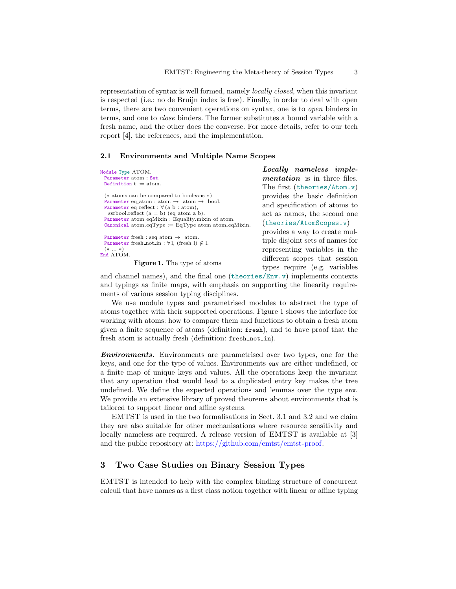representation of syntax is well formed, namely locally closed, when this invariant is respected (i.e.: no de Bruijn index is free). Finally, in order to deal with open terms, there are two convenient operations on syntax, one is to open binders in terms, and one to close binders. The former substitutes a bound variable with a fresh name, and the other does the converse. For more details, refer to our tech report [\[4\]](#page-6-10), the references, and the implementation.

#### 2.1 Environments and Multiple Name Scopes

| Module Type ATOM.                                                                                             | Locally nameless imple-                                           |  |  |  |
|---------------------------------------------------------------------------------------------------------------|-------------------------------------------------------------------|--|--|--|
| Parameter atom : Set.                                                                                         | <i>mentation</i> is in three files.                               |  |  |  |
| Definition $t := atom$ .                                                                                      | The first (theories/Atom.v)                                       |  |  |  |
| $(*$ atoms can be compared to booleans $*)$                                                                   | provides the basic definition                                     |  |  |  |
| Parameter eq. atom : atom $\rightarrow$ atom $\rightarrow$ bool.                                              | and specification of atoms to                                     |  |  |  |
| Parameter eq_reflect : $\forall$ (a b : atom),<br>ssrbool.reflect $(a = b)$ (eq_atom a b).                    | act as names, the second one                                      |  |  |  |
| Parameter atom_eqMixin: Equality.mixin_of atom.<br>Canonical atom_eqType := $EqType$ atom atom_eqMixin.       | (theories/AtomScopes.v)                                           |  |  |  |
| Parameter fresh : seq atom $\rightarrow$ atom.<br>Parameter fresh_not_in : $\forall$ l, (fresh l) $\notin$ l. | provides a way to create mul-<br>tiple disjoint sets of names for |  |  |  |
| $(* \ldots *)$                                                                                                | representing variables in the                                     |  |  |  |
| End ATOM.<br><b>Figure 1.</b> The type of atoms                                                               | different scopes that session<br>types require (e.g. variables    |  |  |  |
|                                                                                                               |                                                                   |  |  |  |

<span id="page-2-1"></span>and channel names), and the final one  $(\text{theories/Env.}v)$  implements contexts and typings as finite maps, with emphasis on supporting the linearity requirements of various session typing disciplines.

We use module types and parametrised modules to abstract the type of atoms together with their supported operations. Figure [1](#page-2-1) shows the interface for working with atoms: how to compare them and functions to obtain a fresh atom given a finite sequence of atoms (definition: fresh), and to have proof that the fresh atom is actually fresh (definition: fresh\_not\_in).

Environments. Environments are parametrised over two types, one for the keys, and one for the type of values. Environments env are either undefined, or a finite map of unique keys and values. All the operations keep the invariant that any operation that would lead to a duplicated entry key makes the tree undefined. We define the expected operations and lemmas over the type env. We provide an extensive library of proved theorems about environments that is tailored to support linear and affine systems.

EMTST is used in the two formalisations in Sect. [3.1](#page-3-0) and [3.2](#page-4-0) and we claim they are also suitable for other mechanisations where resource sensitivity and locally nameless are required. A release version of EMTST is available at [\[3\]](#page-6-11) and the public repository at: [https://github.com/emtst/emtst-proof.](https://github.com/emtst/emtst-proof)

## <span id="page-2-0"></span>3 Two Case Studies on Binary Session Types

EMTST is intended to help with the complex binding structure of concurrent calculi that have names as a first class notion together with linear or affine typing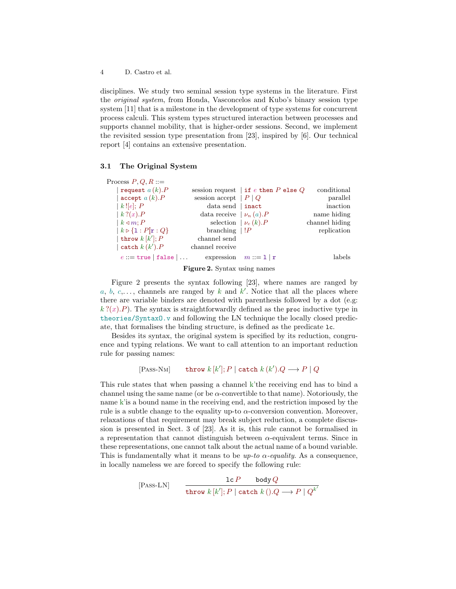4 D. Castro et al.

disciplines. We study two seminal session type systems in the literature. First the original system, from Honda, Vasconcelos and Kubo's binary session type system [\[11\]](#page-6-5) that is a milestone in the development of type systems for concurrent process calculi. This system types structured interaction between processes and supports channel mobility, that is higher-order sessions. Second, we implement the revisited session type presentation from [\[23\]](#page-7-0), inspired by [\[6\]](#page-6-12). Our technical report [\[4\]](#page-6-10) contains an extensive presentation.

### <span id="page-3-0"></span>3.1 The Original System

| Process $P, Q, R ::=$                                         |                                        |                             |                |
|---------------------------------------------------------------|----------------------------------------|-----------------------------|----------------|
| request $a(k)$ . P                                            | session request   if e then P else $Q$ |                             | conditional    |
| accept $a(k).P$                                               | session accept $ P Q$                  |                             | parallel       |
| k![e]; P                                                      | data send   inact                      |                             | inaction       |
| $k$ ? $(x)$ . $P$                                             | data receive $ \nu_n(a).P $            |                             | name hiding    |
| $k \triangleleft m$ : P                                       |                                        | selection $\mid \nu_c(k).P$ | channel hiding |
| $\vert k \triangleright \{1 : P\vert \mathbf{r} : Q\}\rangle$ | branching $ P $                        |                             | replication    |
| throw $k[k']$ ; P                                             | channel send                           |                             |                |
| catch $k(k')$ . $P$                                           | channel receive                        |                             |                |
| $e ::=$ true   false                                          |                                        | expression $m ::= 1   r$    | labels         |
|                                                               | $\sim$ $\sim$ $\sim$ $\sim$            |                             |                |

<span id="page-3-1"></span>Figure 2. Syntax using names

Figure [2](#page-3-1) presents the syntax following [\[23\]](#page-7-0), where names are ranged by a, b, c,..., channels are ranged by k and  $k'$ . Notice that all the places where there are variable binders are denoted with parenthesis followed by a dot (e.g:  $k$  ?(x).P). The syntax is straightforwardly defined as the proc inductive type in theories/SyntaxO.v and following the LN technique the locally closed predicate, that formalises the binding structure, is defined as the predicate lc.

Besides its syntax, the original system is specified by its reduction, congruence and typing relations. We want to call attention to an important reduction rule for passing names:

[Pass-NM] **throw** 
$$
k[k']
$$
;  $P$  | **catch**  $k(k').Q \longrightarrow P \mid Q$ 

This rule states that when passing a channel k'the receiving end has to bind a channel using the same name (or be  $\alpha$ -convertible to that name). Notoriously, the name k'is a bound name in the receiving end, and the restriction imposed by the rule is a subtle change to the equality up-to  $\alpha$ -conversion convention. Moreover, relaxations of that requirement may break subject reduction, a complete discussion is presented in Sect. 3 of [\[23\]](#page-7-0). As it is, this rule cannot be formalised in a representation that cannot distinguish between  $\alpha$ -equivalent terms. Since in these representations, one cannot talk about the actual name of a bound variable. This is fundamentally what it means to be  $up-to \alpha$ -equality. As a consequence, in locally nameless we are forced to specify the following rule:

$$
[Pass-LN] \qquad \frac{\text{lc } P \qquad \text{body } Q}{\text{throw } k [k']; P \mid \text{catch } k \left( . \right) . Q \longrightarrow P \mid Q^{k'}}
$$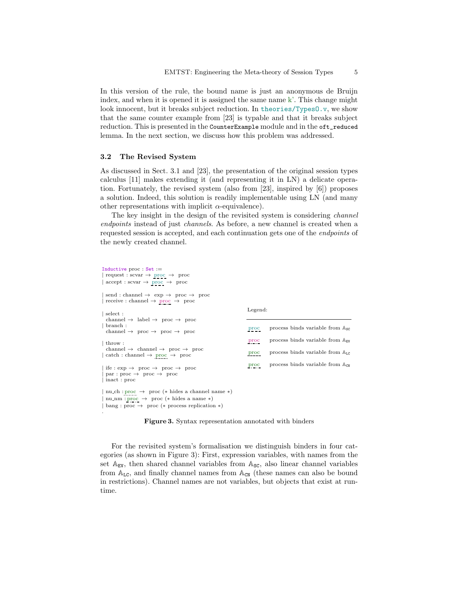In this version of the rule, the bound name is just an anonymous de Bruijn index, and when it is opened it is assigned the same name  $k'$ . This change might look innocent, but it breaks subject reduction. In theories/TypesO.v, we show that the same counter example from [\[23\]](#page-7-0) is typable and that it breaks subject reduction. This is presented in the CounterExample module and in the oft\_reduced lemma. In the next section, we discuss how this problem was addressed.

#### <span id="page-4-0"></span>3.2 The Revised System

.

As discussed in Sect. [3.1](#page-3-0) and [\[23\]](#page-7-0), the presentation of the original session types calculus [\[11\]](#page-6-5) makes extending it (and representing it in LN) a delicate operation. Fortunately, the revised system (also from [\[23\]](#page-7-0), inspired by [\[6\]](#page-6-12)) proposes a solution. Indeed, this solution is readily implementable using LN (and many other representations with implicit  $\alpha$ -equivalence).

The key insight in the design of the revisited system is considering *channel* endpoints instead of just channels. As before, a new channel is created when a requested session is accepted, and each continuation gets one of the endpoints of the newly created channel.

| Inductive proc $Set :=$<br>$\vert$ request : scvar $\rightarrow$ proc $\rightarrow$ proc<br>$\vert$ accept : scvar $\rightarrow$ proc $\rightarrow$ proc                                       |               |                                                      |
|------------------------------------------------------------------------------------------------------------------------------------------------------------------------------------------------|---------------|------------------------------------------------------|
| $\vert$ send : channel $\rightarrow$ exp $\rightarrow$ proc $\rightarrow$ proc<br>$\vert$ receive : channel $\rightarrow$ proc $\rightarrow$ proc                                              |               |                                                      |
| $\vert$ select :<br>channel $\rightarrow$ label $\rightarrow$ proc $\rightarrow$ proc                                                                                                          | Legend:       |                                                      |
| $\vert$ branch :<br>channel $\rightarrow$ proc $\rightarrow$ proc $\rightarrow$ proc                                                                                                           | proc          | process binds variable from $\mathbb{A}_{\text{SG}}$ |
| $ $ throw :                                                                                                                                                                                    | proc          | process binds variable from $\mathbb{A}_{\text{EV}}$ |
| channel $\rightarrow$ channel $\rightarrow$ proc $\rightarrow$ proc<br>$\vert \text{ catch : channel} \rightarrow \text{ proc } \rightarrow \text{ proc}$                                      | $_{\rm proc}$ | process binds variable from $A_{LG}$                 |
| $\vert$ ife : exp $\rightarrow$ proc $\rightarrow$ proc $\rightarrow$ proc<br>$\vert$ par : proc $\rightarrow$ proc $\rightarrow$ proc<br>inact: proc                                          | proc          | process binds variable from $A_{\text{CN}}$          |
| $\vert$ nu_ch : proc $\rightarrow$ proc (* hides a channel name *)<br>  nu_nm : proc $\rightarrow$ proc (* hides a name *)<br>$\vert$ bang : proc $\rightarrow$ proc (* process replication *) |               |                                                      |

<span id="page-4-1"></span>Figure 3. Syntax representation annotated with binders

For the revisited system's formalisation we distinguish binders in four categories (as shown in Figure [3\)](#page-4-1): First, expression variables, with names from the set  $A_{EV}$ , then shared channel variables from  $A_{SC}$ , also linear channel variables from  $A_{LC}$ , and finally channel names from  $A_{CN}$  (these names can also be bound in restrictions). Channel names are not variables, but objects that exist at runtime.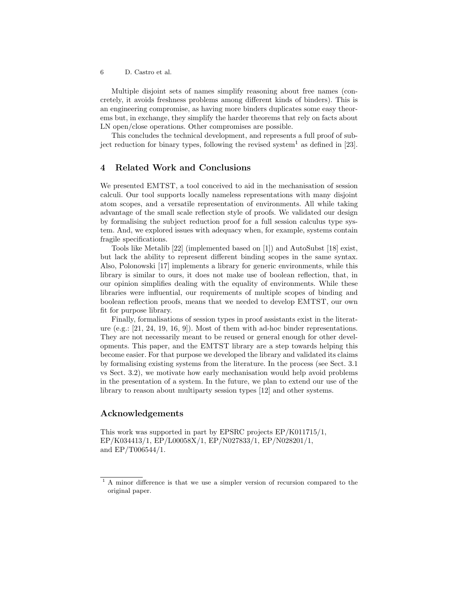6 D. Castro et al.

Multiple disjoint sets of names simplify reasoning about free names (concretely, it avoids freshness problems among different kinds of binders). This is an engineering compromise, as having more binders duplicates some easy theorems but, in exchange, they simplify the harder theorems that rely on facts about LN open/close operations. Other compromises are possible.

This concludes the technical development, and represents a full proof of sub-ject reduction for binary types, following the revised system<sup>[1](#page-5-0)</sup> as defined in [\[23\]](#page-7-0).

### 4 Related Work and Conclusions

We presented EMTST, a tool conceived to aid in the mechanisation of session calculi. Our tool supports locally nameless representations with many disjoint atom scopes, and a versatile representation of environments. All while taking advantage of the small scale reflection style of proofs. We validated our design by formalising the subject reduction proof for a full session calculus type system. And, we explored issues with adequacy when, for example, systems contain fragile specifications.

Tools like Metalib [\[22\]](#page-7-2) (implemented based on [\[1\]](#page-6-2)) and AutoSubst [\[18\]](#page-7-3) exist, but lack the ability to represent different binding scopes in the same syntax. Also, Polonowski [\[17\]](#page-7-4) implements a library for generic environments, while this library is similar to ours, it does not make use of boolean reflection, that, in our opinion simplifies dealing with the equality of environments. While these libraries were influential, our requirements of multiple scopes of binding and boolean reflection proofs, means that we needed to develop EMTST, our own fit for purpose library.

Finally, formalisations of session types in proof assistants exist in the literature (e.g.: [\[21,](#page-7-5) [24,](#page-7-6) [19,](#page-7-7) [16,](#page-7-8) [9\]](#page-6-13)). Most of them with ad-hoc binder representations. They are not necessarily meant to be reused or general enough for other developments. This paper, and the EMTST library are a step towards helping this become easier. For that purpose we developed the library and validated its claims by formalising existing systems from the literature. In the process (see Sect. [3.1](#page-3-0) vs Sect. [3.2\)](#page-4-0), we motivate how early mechanisation would help avoid problems in the presentation of a system. In the future, we plan to extend our use of the library to reason about multiparty session types [\[12\]](#page-6-14) and other systems.

### Acknowledgements

This work was supported in part by EPSRC projects EP/K011715/1, EP/K034413/1, EP/L00058X/1, EP/N027833/1, EP/N028201/1, and EP/T006544/1.

<span id="page-5-0"></span><sup>&</sup>lt;sup>1</sup> A minor difference is that we use a simpler version of recursion compared to the original paper.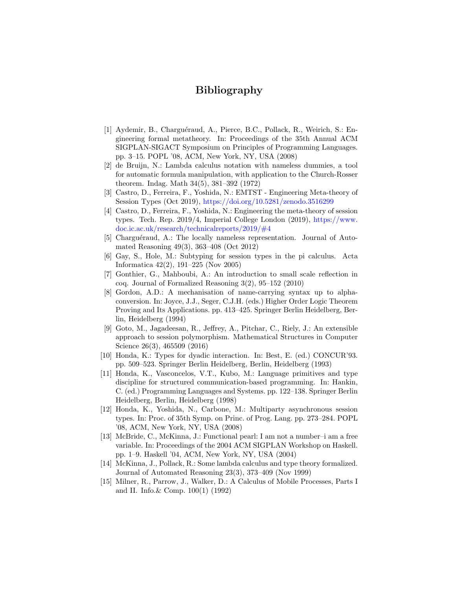# Bibliography

- <span id="page-6-2"></span>[1] Aydemir, B., Charguéraud, A., Pierce, B.C., Pollack, R., Weirich, S.: Engineering formal metatheory. In: Proceedings of the 35th Annual ACM SIGPLAN-SIGACT Symposium on Principles of Programming Languages. pp. 3–15. POPL '08, ACM, New York, NY, USA (2008)
- <span id="page-6-9"></span>[2] de Bruijn, N.: Lambda calculus notation with nameless dummies, a tool for automatic formula manipulation, with application to the Church-Rosser theorem. Indag. Math 34(5), 381–392 (1972)
- <span id="page-6-11"></span>[3] Castro, D., Ferreira, F., Yoshida, N.: EMTST - Engineering Meta-theory of Session Types (Oct 2019), <https://doi.org/10.5281/zenodo.3516299>
- <span id="page-6-10"></span>[4] Castro, D., Ferreira, F., Yoshida, N.: Engineering the meta-theory of session types. Tech. Rep. 2019/4, Imperial College London (2019), [https://www.](https://www.doc.ic.ac.uk/research/technicalreports/2019/#4) [doc.ic.ac.uk/research/technicalreports/2019/#4](https://www.doc.ic.ac.uk/research/technicalreports/2019/#4)
- <span id="page-6-3"></span>[5] Charguéraud, A.: The locally nameless representation. Journal of Automated Reasoning 49(3), 363–408 (Oct 2012)
- <span id="page-6-12"></span>[6] Gay, S., Hole, M.: Subtyping for session types in the pi calculus. Acta Informatica 42(2), 191–225 (Nov 2005)
- <span id="page-6-4"></span>[7] Gonthier, G., Mahboubi, A.: An introduction to small scale reflection in coq. Journal of Formalized Reasoning 3(2), 95–152 (2010)
- <span id="page-6-6"></span>[8] Gordon, A.D.: A mechanisation of name-carrying syntax up to alphaconversion. In: Joyce, J.J., Seger, C.J.H. (eds.) Higher Order Logic Theorem Proving and Its Applications. pp. 413–425. Springer Berlin Heidelberg, Berlin, Heidelberg (1994)
- <span id="page-6-13"></span>[9] Goto, M., Jagadeesan, R., Jeffrey, A., Pitchar, C., Riely, J.: An extensible approach to session polymorphism. Mathematical Structures in Computer Science 26(3), 465509 (2016)
- <span id="page-6-1"></span>[10] Honda, K.: Types for dyadic interaction. In: Best, E. (ed.) CONCUR'93. pp. 509–523. Springer Berlin Heidelberg, Berlin, Heidelberg (1993)
- <span id="page-6-5"></span>[11] Honda, K., Vasconcelos, V.T., Kubo, M.: Language primitives and type discipline for structured communication-based programming. In: Hankin, C. (ed.) Programming Languages and Systems. pp. 122–138. Springer Berlin Heidelberg, Berlin, Heidelberg (1998)
- <span id="page-6-14"></span>[12] Honda, K., Yoshida, N., Carbone, M.: Multiparty asynchronous session types. In: Proc. of 35th Symp. on Princ. of Prog. Lang. pp. 273–284. POPL '08, ACM, New York, NY, USA (2008)
- <span id="page-6-8"></span>[13] McBride, C., McKinna, J.: Functional pearl: I am not a number–i am a free variable. In: Proceedings of the 2004 ACM SIGPLAN Workshop on Haskell. pp. 1–9. Haskell '04, ACM, New York, NY, USA (2004)
- <span id="page-6-7"></span>[14] McKinna, J., Pollack, R.: Some lambda calculus and type theory formalized. Journal of Automated Reasoning 23(3), 373–409 (Nov 1999)
- <span id="page-6-0"></span>[15] Milner, R., Parrow, J., Walker, D.: A Calculus of Mobile Processes, Parts I and II. Info.& Comp. 100(1) (1992)